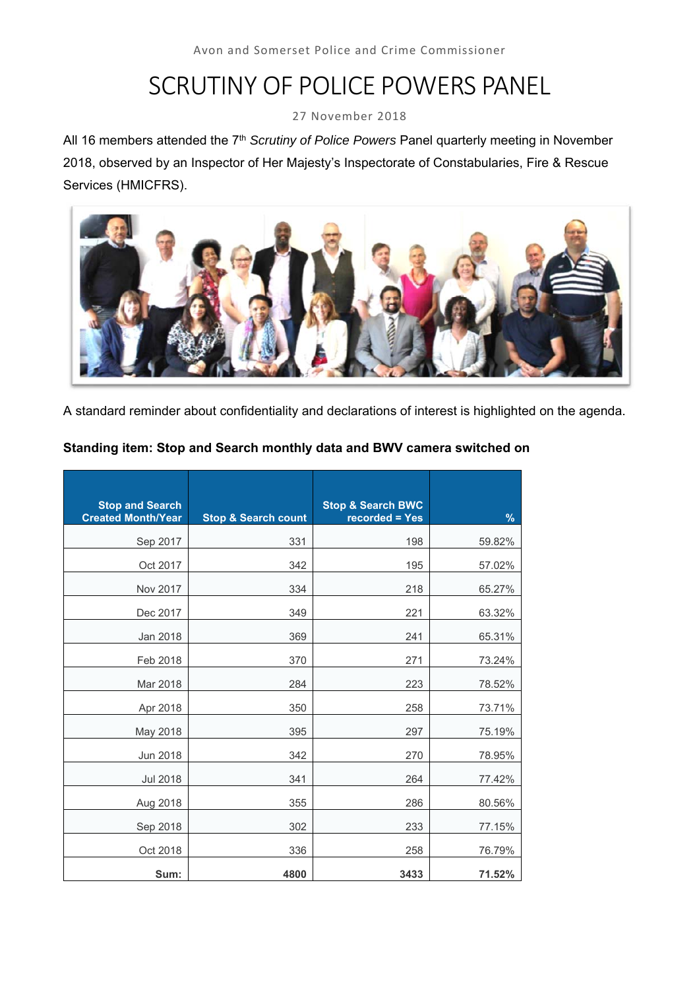# SCRUTINY OF POLICE POWERS PANEL

27 November 2018

All 16 members attended the 7<sup>th</sup> *Scrutiny of Police Powers* Panel quarterly meeting in November 2018, observed by an Inspector of Her Majesty's Inspectorate of Constabularies, Fire & Rescue Services (HMICFRS).



A standard reminder about confidentiality and declarations of interest is highlighted on the agenda.

# **Standing item: Stop and Search monthly data and BWV camera switched on**

| <b>Stop and Search</b><br><b>Created Month/Year</b> | <b>Stop &amp; Search count</b> | <b>Stop &amp; Search BWC</b><br>recorded = Yes | $\frac{9}{6}$ |
|-----------------------------------------------------|--------------------------------|------------------------------------------------|---------------|
| Sep 2017                                            | 331                            | 198                                            | 59.82%        |
| Oct 2017                                            | 342                            | 195                                            | 57.02%        |
| Nov 2017                                            | 334                            | 218                                            | 65.27%        |
| Dec 2017                                            | 349                            | 221                                            | 63.32%        |
| Jan 2018                                            | 369                            | 241                                            | 65.31%        |
| Feb 2018                                            | 370                            | 271                                            | 73.24%        |
| Mar 2018                                            | 284                            | 223                                            | 78.52%        |
| Apr 2018                                            | 350                            | 258                                            | 73.71%        |
| May 2018                                            | 395                            | 297                                            | 75.19%        |
| Jun 2018                                            | 342                            | 270                                            | 78.95%        |
| Jul 2018                                            | 341                            | 264                                            | 77.42%        |
| Aug 2018                                            | 355                            | 286                                            | 80.56%        |
| Sep 2018                                            | 302                            | 233                                            | 77.15%        |
| Oct 2018                                            | 336                            | 258                                            | 76.79%        |
| Sum:                                                | 4800                           | 3433                                           | 71.52%        |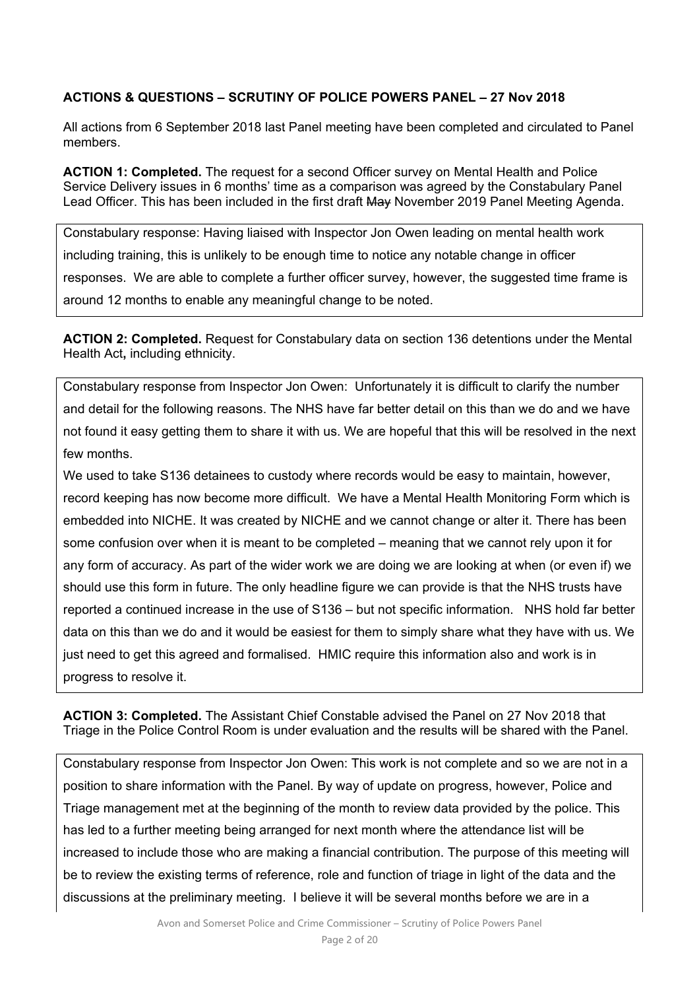## **ACTIONS & QUESTIONS – SCRUTINY OF POLICE POWERS PANEL – 27 Nov 2018**

All actions from 6 September 2018 last Panel meeting have been completed and circulated to Panel members.

**ACTION 1: Completed.** The request for a second Officer survey on Mental Health and Police Service Delivery issues in 6 months' time as a comparison was agreed by the Constabulary Panel Lead Officer. This has been included in the first draft May November 2019 Panel Meeting Agenda.

Constabulary response: Having liaised with Inspector Jon Owen leading on mental health work including training, this is unlikely to be enough time to notice any notable change in officer responses. We are able to complete a further officer survey, however, the suggested time frame is around 12 months to enable any meaningful change to be noted.

**ACTION 2: Completed.** Request for Constabulary data on section 136 detentions under the Mental Health Act**,** including ethnicity.

Constabulary response from Inspector Jon Owen: Unfortunately it is difficult to clarify the number and detail for the following reasons. The NHS have far better detail on this than we do and we have not found it easy getting them to share it with us. We are hopeful that this will be resolved in the next few months.

We used to take S136 detainees to custody where records would be easy to maintain, however, record keeping has now become more difficult. We have a Mental Health Monitoring Form which is embedded into NICHE. It was created by NICHE and we cannot change or alter it. There has been some confusion over when it is meant to be completed – meaning that we cannot rely upon it for any form of accuracy. As part of the wider work we are doing we are looking at when (or even if) we should use this form in future. The only headline figure we can provide is that the NHS trusts have reported a continued increase in the use of S136 – but not specific information. NHS hold far better data on this than we do and it would be easiest for them to simply share what they have with us. We just need to get this agreed and formalised. HMIC require this information also and work is in progress to resolve it.

**ACTION 3: Completed.** The Assistant Chief Constable advised the Panel on 27 Nov 2018 that Triage in the Police Control Room is under evaluation and the results will be shared with the Panel.

Constabulary response from Inspector Jon Owen: This work is not complete and so we are not in a position to share information with the Panel. By way of update on progress, however, Police and Triage management met at the beginning of the month to review data provided by the police. This has led to a further meeting being arranged for next month where the attendance list will be increased to include those who are making a financial contribution. The purpose of this meeting will be to review the existing terms of reference, role and function of triage in light of the data and the discussions at the preliminary meeting. I believe it will be several months before we are in a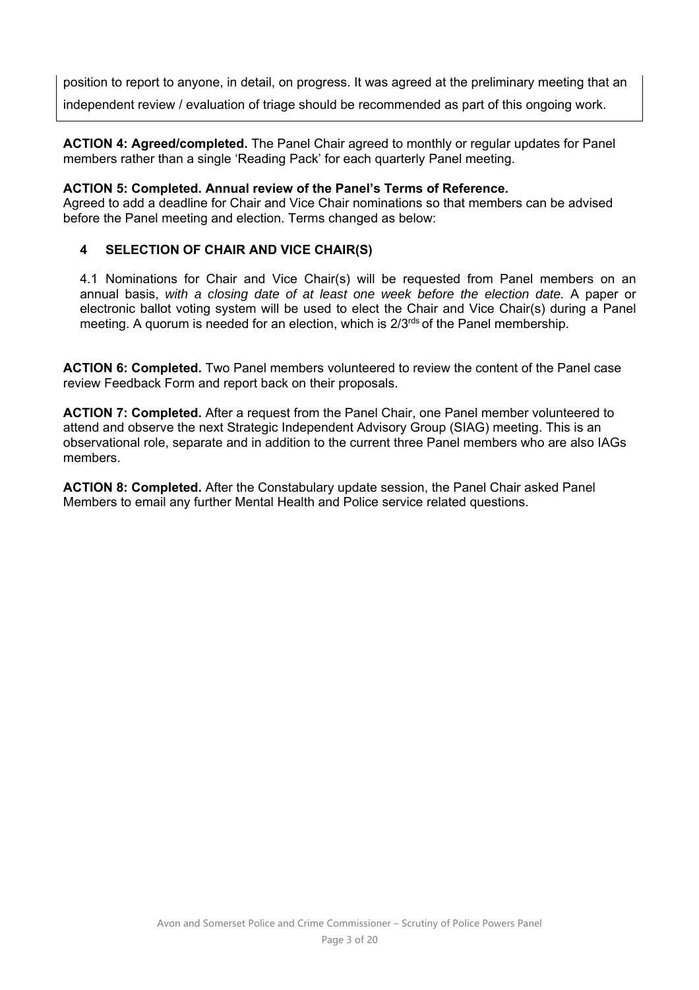position to report to anyone, in detail, on progress. It was agreed at the preliminary meeting that an independent review / evaluation of triage should be recommended as part of this ongoing work.

**ACTION 4: Agreed/completed.** The Panel Chair agreed to monthly or regular updates for Panel members rather than a single 'Reading Pack' for each quarterly Panel meeting.

### **ACTION 5: Completed. Annual review of the Panel's Terms of Reference.**

Agreed to add a deadline for Chair and Vice Chair nominations so that members can be advised before the Panel meeting and election. Terms changed as below:

# **4 SELECTION OF CHAIR AND VICE CHAIR(S)**

4.1 Nominations for Chair and Vice Chair(s) will be requested from Panel members on an annual basis, *with a closing date of at least one week before the election date.* A paper or electronic ballot voting system will be used to elect the Chair and Vice Chair(s) during a Panel meeting. A quorum is needed for an election, which is  $2/3<sup>rds</sup>$  of the Panel membership.

**ACTION 6: Completed.** Two Panel members volunteered to review the content of the Panel case review Feedback Form and report back on their proposals.

**ACTION 7: Completed.** After a request from the Panel Chair, one Panel member volunteered to attend and observe the next Strategic Independent Advisory Group (SIAG) meeting. This is an observational role, separate and in addition to the current three Panel members who are also IAGs members.

**ACTION 8: Completed.** After the Constabulary update session, the Panel Chair asked Panel Members to email any further Mental Health and Police service related questions.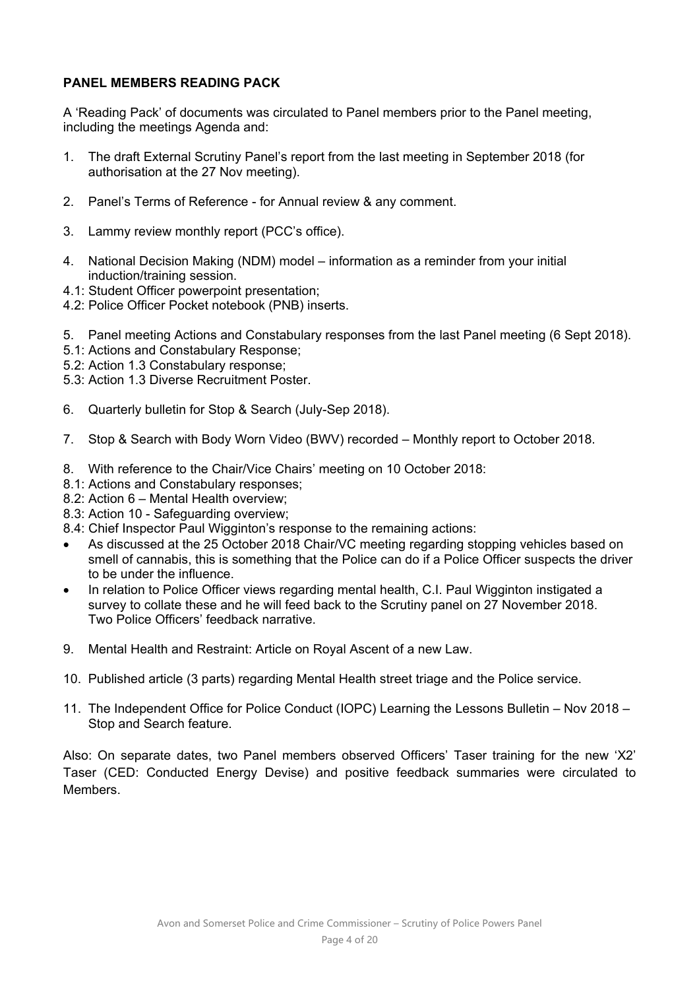# **PANEL MEMBERS READING PACK**

A 'Reading Pack' of documents was circulated to Panel members prior to the Panel meeting, including the meetings Agenda and:

- 1. The draft External Scrutiny Panel's report from the last meeting in September 2018 (for authorisation at the 27 Nov meeting).
- 2. Panel's Terms of Reference for Annual review & any comment.
- 3. Lammy review monthly report (PCC's office).
- 4. National Decision Making (NDM) model information as a reminder from your initial induction/training session.
- 4.1: Student Officer powerpoint presentation;
- 4.2: Police Officer Pocket notebook (PNB) inserts.
- 5. Panel meeting Actions and Constabulary responses from the last Panel meeting (6 Sept 2018).
- 5.1: Actions and Constabulary Response;
- 5.2: Action 1.3 Constabulary response;
- 5.3: Action 1.3 Diverse Recruitment Poster.
- 6. Quarterly bulletin for Stop & Search (July-Sep 2018).
- 7. Stop & Search with Body Worn Video (BWV) recorded Monthly report to October 2018.
- 8. With reference to the Chair/Vice Chairs' meeting on 10 October 2018:
- 8.1: Actions and Constabulary responses;
- 8.2: Action 6 Mental Health overview;
- 8.3: Action 10 Safeguarding overview;
- 8.4: Chief Inspector Paul Wigginton's response to the remaining actions:
- As discussed at the 25 October 2018 Chair/VC meeting regarding stopping vehicles based on smell of cannabis, this is something that the Police can do if a Police Officer suspects the driver to be under the influence.
- In relation to Police Officer views regarding mental health, C.I. Paul Wigginton instigated a survey to collate these and he will feed back to the Scrutiny panel on 27 November 2018. Two Police Officers' feedback narrative.
- 9. Mental Health and Restraint: Article on Royal Ascent of a new Law.
- 10. Published article (3 parts) regarding Mental Health street triage and the Police service.
- 11. The Independent Office for Police Conduct (IOPC) Learning the Lessons Bulletin Nov 2018 Stop and Search feature.

Also: On separate dates, two Panel members observed Officers' Taser training for the new 'X2' Taser (CED: Conducted Energy Devise) and positive feedback summaries were circulated to **Members**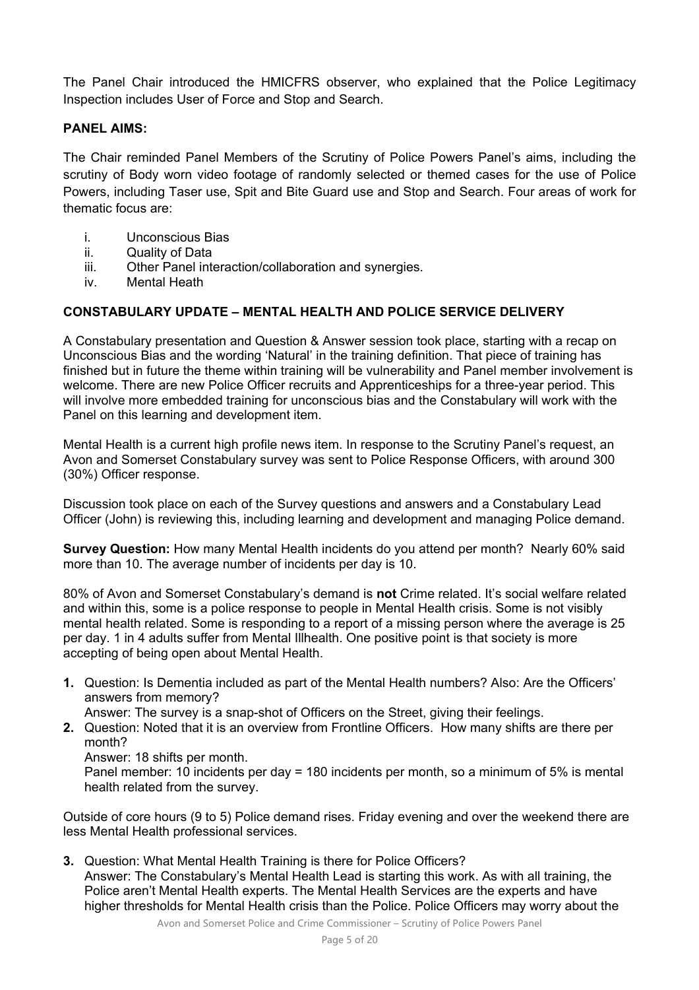The Panel Chair introduced the HMICFRS observer, who explained that the Police Legitimacy Inspection includes User of Force and Stop and Search.

### **PANEL AIMS:**

The Chair reminded Panel Members of the Scrutiny of Police Powers Panel's aims, including the scrutiny of Body worn video footage of randomly selected or themed cases for the use of Police Powers, including Taser use, Spit and Bite Guard use and Stop and Search. Four areas of work for thematic focus are:

- i. Unconscious Bias
- ii. Quality of Data
- iii. Other Panel interaction/collaboration and synergies.
- iv. Mental Heath

### **CONSTABULARY UPDATE – MENTAL HEALTH AND POLICE SERVICE DELIVERY**

A Constabulary presentation and Question & Answer session took place, starting with a recap on Unconscious Bias and the wording 'Natural' in the training definition. That piece of training has finished but in future the theme within training will be vulnerability and Panel member involvement is welcome. There are new Police Officer recruits and Apprenticeships for a three-year period. This will involve more embedded training for unconscious bias and the Constabulary will work with the Panel on this learning and development item.

Mental Health is a current high profile news item. In response to the Scrutiny Panel's request, an Avon and Somerset Constabulary survey was sent to Police Response Officers, with around 300 (30%) Officer response.

Discussion took place on each of the Survey questions and answers and a Constabulary Lead Officer (John) is reviewing this, including learning and development and managing Police demand.

**Survey Question:** How many Mental Health incidents do you attend per month? Nearly 60% said more than 10. The average number of incidents per day is 10.

80% of Avon and Somerset Constabulary's demand is **not** Crime related. It's social welfare related and within this, some is a police response to people in Mental Health crisis. Some is not visibly mental health related. Some is responding to a report of a missing person where the average is 25 per day. 1 in 4 adults suffer from Mental Illhealth. One positive point is that society is more accepting of being open about Mental Health.

**1.** Question: Is Dementia included as part of the Mental Health numbers? Also: Are the Officers' answers from memory?

Answer: The survey is a snap-shot of Officers on the Street, giving their feelings.

- **2.** Question: Noted that it is an overview from Frontline Officers. How many shifts are there per month?
	- Answer: 18 shifts per month.

Panel member: 10 incidents per day = 180 incidents per month, so a minimum of 5% is mental health related from the survey.

Outside of core hours (9 to 5) Police demand rises. Friday evening and over the weekend there are less Mental Health professional services.

**3.** Question: What Mental Health Training is there for Police Officers? Answer: The Constabulary's Mental Health Lead is starting this work. As with all training, the Police aren't Mental Health experts. The Mental Health Services are the experts and have higher thresholds for Mental Health crisis than the Police. Police Officers may worry about the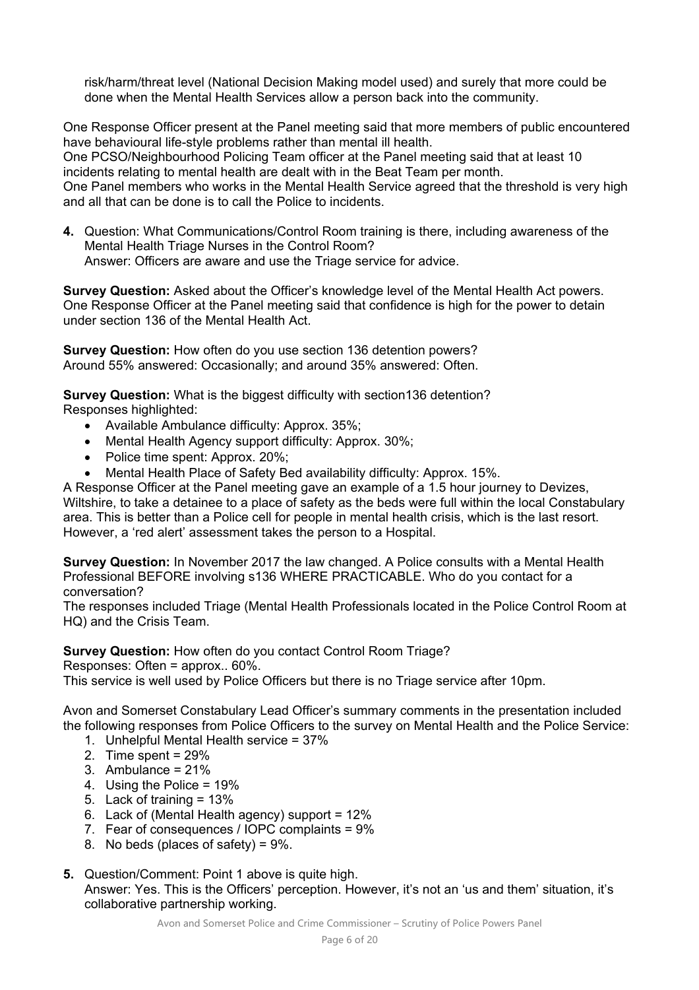risk/harm/threat level (National Decision Making model used) and surely that more could be done when the Mental Health Services allow a person back into the community.

One Response Officer present at the Panel meeting said that more members of public encountered have behavioural life-style problems rather than mental ill health.

One PCSO/Neighbourhood Policing Team officer at the Panel meeting said that at least 10 incidents relating to mental health are dealt with in the Beat Team per month.

One Panel members who works in the Mental Health Service agreed that the threshold is very high and all that can be done is to call the Police to incidents.

**4.** Question: What Communications/Control Room training is there, including awareness of the Mental Health Triage Nurses in the Control Room? Answer: Officers are aware and use the Triage service for advice.

**Survey Question:** Asked about the Officer's knowledge level of the Mental Health Act powers. One Response Officer at the Panel meeting said that confidence is high for the power to detain under section 136 of the Mental Health Act.

**Survey Question:** How often do you use section 136 detention powers? Around 55% answered: Occasionally; and around 35% answered: Often.

**Survey Question:** What is the biggest difficulty with section136 detention? Responses highlighted:

- Available Ambulance difficulty: Approx. 35%;
- Mental Health Agency support difficulty: Approx. 30%;
- Police time spent: Approx. 20%;
- Mental Health Place of Safety Bed availability difficulty: Approx. 15%.

A Response Officer at the Panel meeting gave an example of a 1.5 hour journey to Devizes, Wiltshire, to take a detainee to a place of safety as the beds were full within the local Constabulary area. This is better than a Police cell for people in mental health crisis, which is the last resort. However, a 'red alert' assessment takes the person to a Hospital.

**Survey Question:** In November 2017 the law changed. A Police consults with a Mental Health Professional BEFORE involving s136 WHERE PRACTICABLE. Who do you contact for a conversation?

The responses included Triage (Mental Health Professionals located in the Police Control Room at HQ) and the Crisis Team.

**Survey Question:** How often do you contact Control Room Triage?

Responses: Often = approx.. 60%.

This service is well used by Police Officers but there is no Triage service after 10pm.

Avon and Somerset Constabulary Lead Officer's summary comments in the presentation included the following responses from Police Officers to the survey on Mental Health and the Police Service:

- 1. Unhelpful Mental Health service = 37%
- 2. Time spent = 29%
- 3. Ambulance = 21%
- 4. Using the Police = 19%
- 5. Lack of training = 13%
- 6. Lack of (Mental Health agency) support = 12%
- 7. Fear of consequences / IOPC complaints = 9%
- 8. No beds (places of safety) =  $9\%$ .
- **5.** Question/Comment: Point 1 above is quite high. Answer: Yes. This is the Officers' perception. However, it's not an 'us and them' situation, it's collaborative partnership working.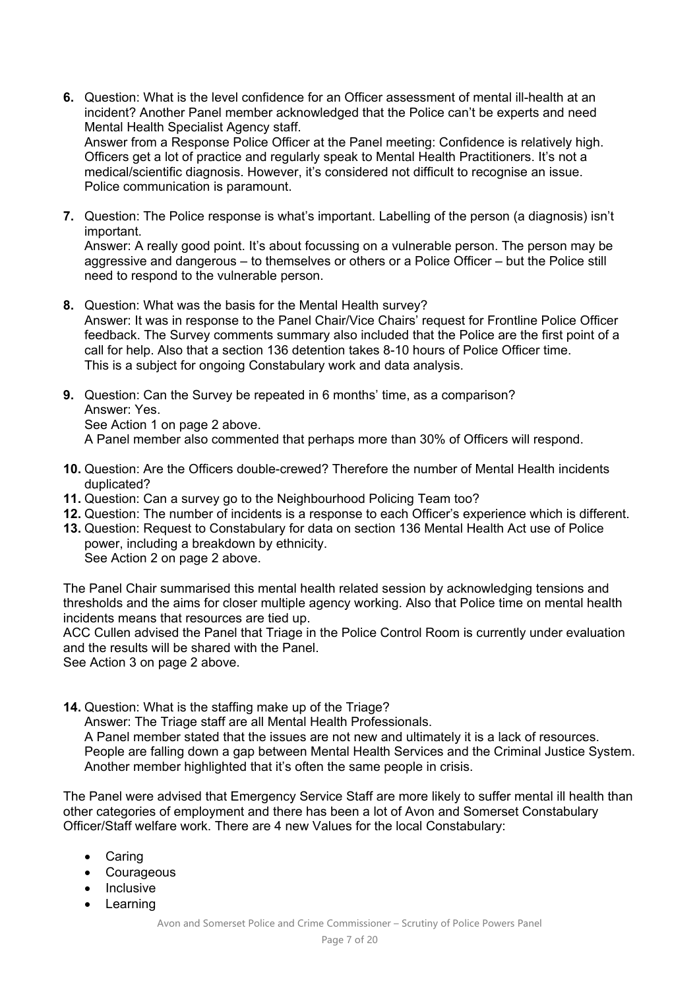**6.** Question: What is the level confidence for an Officer assessment of mental ill-health at an incident? Another Panel member acknowledged that the Police can't be experts and need Mental Health Specialist Agency staff.

Answer from a Response Police Officer at the Panel meeting: Confidence is relatively high. Officers get a lot of practice and regularly speak to Mental Health Practitioners. It's not a medical/scientific diagnosis. However, it's considered not difficult to recognise an issue. Police communication is paramount.

**7.** Question: The Police response is what's important. Labelling of the person (a diagnosis) isn't important.

Answer: A really good point. It's about focussing on a vulnerable person. The person may be aggressive and dangerous – to themselves or others or a Police Officer – but the Police still need to respond to the vulnerable person.

- **8.** Question: What was the basis for the Mental Health survey? Answer: It was in response to the Panel Chair/Vice Chairs' request for Frontline Police Officer feedback. The Survey comments summary also included that the Police are the first point of a call for help. Also that a section 136 detention takes 8-10 hours of Police Officer time. This is a subject for ongoing Constabulary work and data analysis.
- **9.** Question: Can the Survey be repeated in 6 months' time, as a comparison? Answer: Yes. See Action 1 on page 2 above. A Panel member also commented that perhaps more than 30% of Officers will respond.
- **10.** Question: Are the Officers double-crewed? Therefore the number of Mental Health incidents duplicated?
- **11.** Question: Can a survey go to the Neighbourhood Policing Team too?
- **12.** Question: The number of incidents is a response to each Officer's experience which is different.
- **13.** Question: Request to Constabulary for data on section 136 Mental Health Act use of Police power, including a breakdown by ethnicity. See Action 2 on page 2 above.

The Panel Chair summarised this mental health related session by acknowledging tensions and thresholds and the aims for closer multiple agency working. Also that Police time on mental health incidents means that resources are tied up.

ACC Cullen advised the Panel that Triage in the Police Control Room is currently under evaluation and the results will be shared with the Panel.

See Action 3 on page 2 above.

**14.** Question: What is the staffing make up of the Triage?

Answer: The Triage staff are all Mental Health Professionals.

A Panel member stated that the issues are not new and ultimately it is a lack of resources. People are falling down a gap between Mental Health Services and the Criminal Justice System. Another member highlighted that it's often the same people in crisis.

The Panel were advised that Emergency Service Staff are more likely to suffer mental ill health than other categories of employment and there has been a lot of Avon and Somerset Constabulary Officer/Staff welfare work. There are 4 new Values for the local Constabulary:

- Caring
- Courageous
- Inclusive
- Learning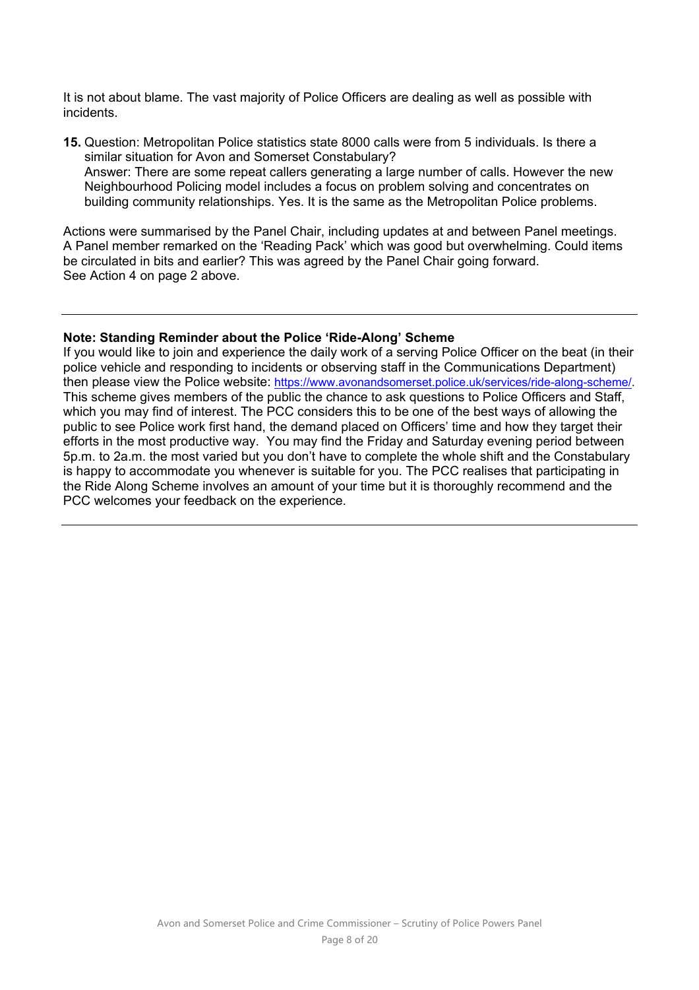It is not about blame. The vast majority of Police Officers are dealing as well as possible with incidents.

**15.** Question: Metropolitan Police statistics state 8000 calls were from 5 individuals. Is there a similar situation for Avon and Somerset Constabulary? Answer: There are some repeat callers generating a large number of calls. However the new Neighbourhood Policing model includes a focus on problem solving and concentrates on building community relationships. Yes. It is the same as the Metropolitan Police problems.

Actions were summarised by the Panel Chair, including updates at and between Panel meetings. A Panel member remarked on the 'Reading Pack' which was good but overwhelming. Could items be circulated in bits and earlier? This was agreed by the Panel Chair going forward. See Action 4 on page 2 above.

### **Note: Standing Reminder about the Police 'Ride-Along' Scheme**

If you would like to join and experience the daily work of a serving Police Officer on the beat (in their police vehicle and responding to incidents or observing staff in the Communications Department) then please view the Police website: https://www.avonandsomerset.police.uk/services/ride-along-scheme/. This scheme gives members of the public the chance to ask questions to Police Officers and Staff, which you may find of interest. The PCC considers this to be one of the best ways of allowing the public to see Police work first hand, the demand placed on Officers' time and how they target their efforts in the most productive way. You may find the Friday and Saturday evening period between 5p.m. to 2a.m. the most varied but you don't have to complete the whole shift and the Constabulary is happy to accommodate you whenever is suitable for you. The PCC realises that participating in the Ride Along Scheme involves an amount of your time but it is thoroughly recommend and the PCC welcomes your feedback on the experience.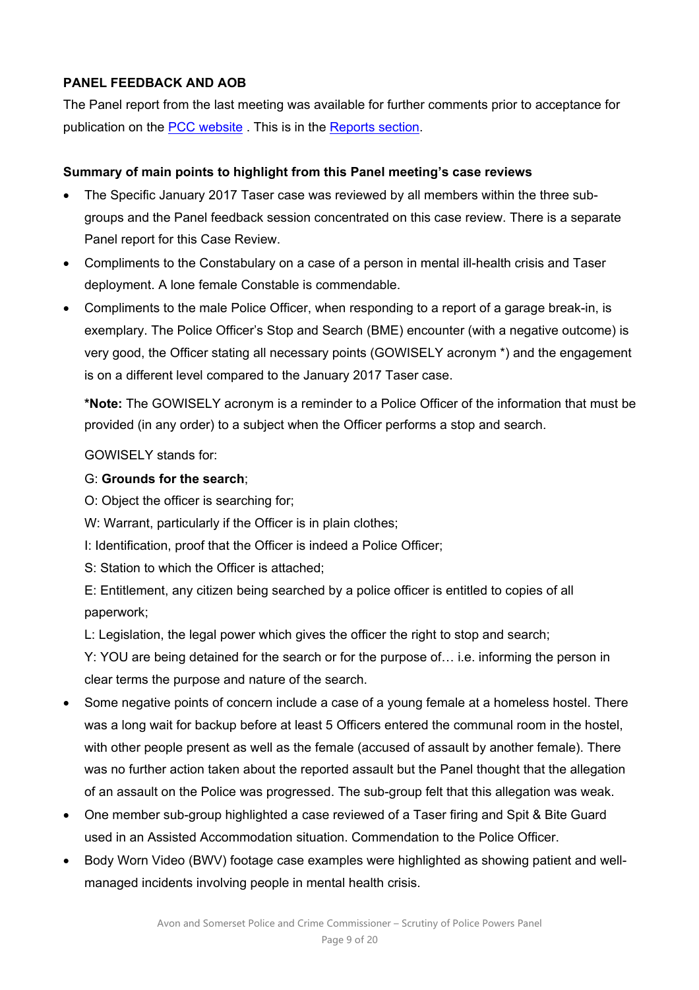# **PANEL FEEDBACK AND AOB**

The Panel report from the last meeting was available for further comments prior to acceptance for publication on the PCC website . This is in the Reports section.

# **Summary of main points to highlight from this Panel meeting's case reviews**

- The Specific January 2017 Taser case was reviewed by all members within the three subgroups and the Panel feedback session concentrated on this case review. There is a separate Panel report for this Case Review.
- Compliments to the Constabulary on a case of a person in mental ill-health crisis and Taser deployment. A lone female Constable is commendable.
- Compliments to the male Police Officer, when responding to a report of a garage break-in, is exemplary. The Police Officer's Stop and Search (BME) encounter (with a negative outcome) is very good, the Officer stating all necessary points (GOWISELY acronym \*) and the engagement is on a different level compared to the January 2017 Taser case.

**\*Note:** The GOWISELY acronym is a reminder to a Police Officer of the information that must be provided (in any order) to a subject when the Officer performs a stop and search.

GOWISELY stands for:

# G: **Grounds for the search**;

- O: Object the officer is searching for;
- W: Warrant, particularly if the Officer is in plain clothes;
- I: Identification, proof that the Officer is indeed a Police Officer;
- S: Station to which the Officer is attached;

E: Entitlement, any citizen being searched by a police officer is entitled to copies of all paperwork;

L: Legislation, the legal power which gives the officer the right to stop and search;

Y: YOU are being detained for the search or for the purpose of… i.e. informing the person in clear terms the purpose and nature of the search.

- Some negative points of concern include a case of a young female at a homeless hostel. There was a long wait for backup before at least 5 Officers entered the communal room in the hostel, with other people present as well as the female (accused of assault by another female). There was no further action taken about the reported assault but the Panel thought that the allegation of an assault on the Police was progressed. The sub-group felt that this allegation was weak.
- One member sub-group highlighted a case reviewed of a Taser firing and Spit & Bite Guard used in an Assisted Accommodation situation. Commendation to the Police Officer.
- Body Worn Video (BWV) footage case examples were highlighted as showing patient and wellmanaged incidents involving people in mental health crisis.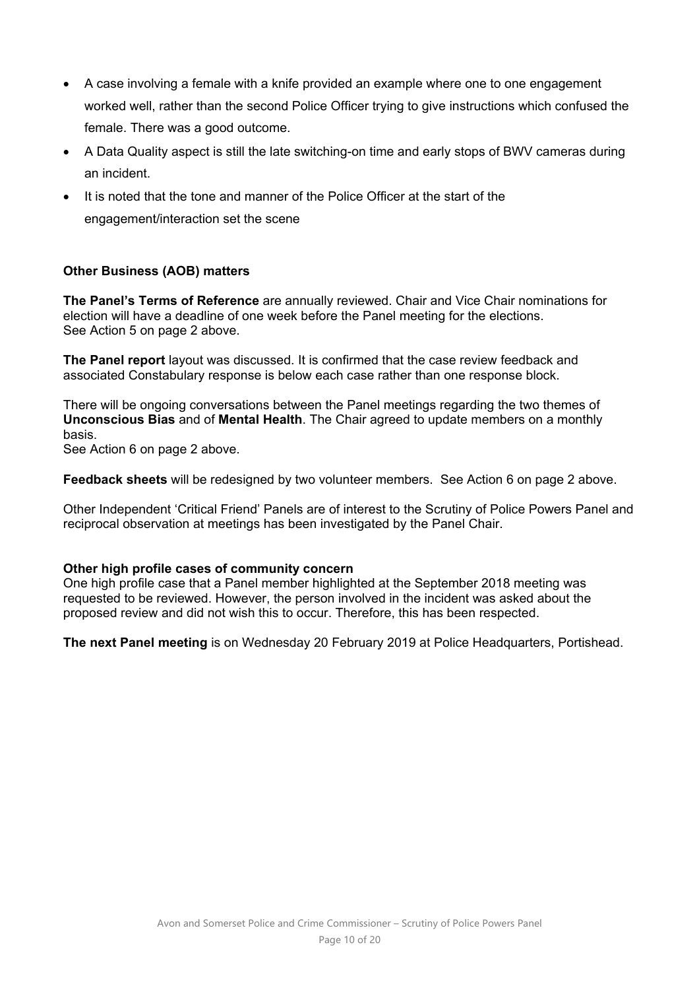- A case involving a female with a knife provided an example where one to one engagement worked well, rather than the second Police Officer trying to give instructions which confused the female. There was a good outcome.
- A Data Quality aspect is still the late switching-on time and early stops of BWV cameras during an incident.
- It is noted that the tone and manner of the Police Officer at the start of the engagement/interaction set the scene

# **Other Business (AOB) matters**

**The Panel's Terms of Reference** are annually reviewed. Chair and Vice Chair nominations for election will have a deadline of one week before the Panel meeting for the elections. See Action 5 on page 2 above.

**The Panel report** layout was discussed. It is confirmed that the case review feedback and associated Constabulary response is below each case rather than one response block.

There will be ongoing conversations between the Panel meetings regarding the two themes of **Unconscious Bias** and of **Mental Health**. The Chair agreed to update members on a monthly basis.

See Action 6 on page 2 above.

**Feedback sheets** will be redesigned by two volunteer members. See Action 6 on page 2 above.

Other Independent 'Critical Friend' Panels are of interest to the Scrutiny of Police Powers Panel and reciprocal observation at meetings has been investigated by the Panel Chair.

### **Other high profile cases of community concern**

One high profile case that a Panel member highlighted at the September 2018 meeting was requested to be reviewed. However, the person involved in the incident was asked about the proposed review and did not wish this to occur. Therefore, this has been respected.

**The next Panel meeting** is on Wednesday 20 February 2019 at Police Headquarters, Portishead.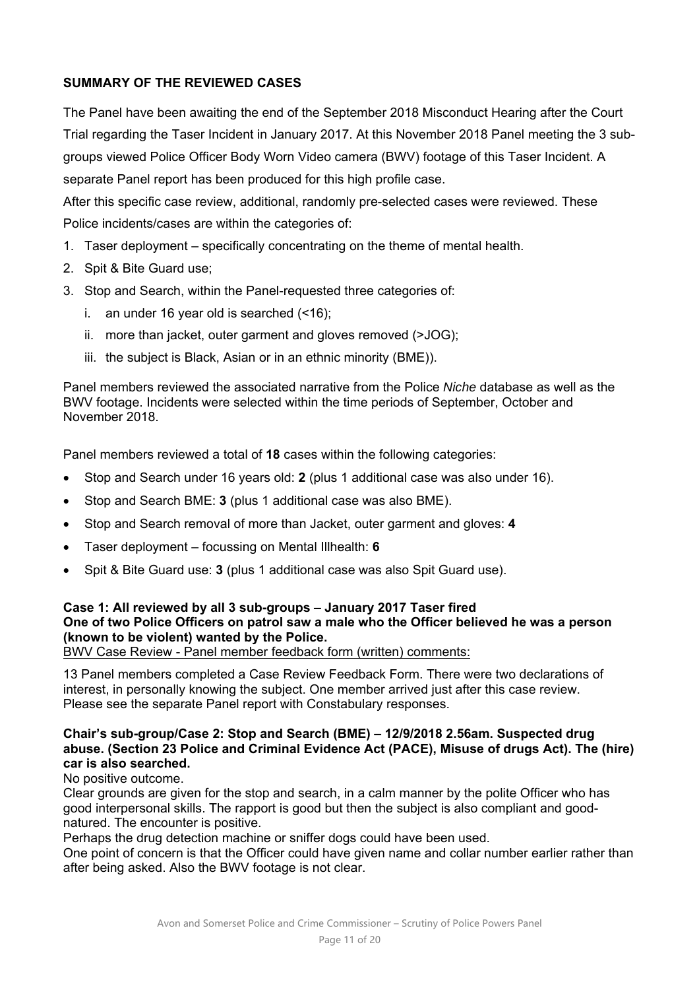# **SUMMARY OF THE REVIEWED CASES**

The Panel have been awaiting the end of the September 2018 Misconduct Hearing after the Court Trial regarding the Taser Incident in January 2017. At this November 2018 Panel meeting the 3 subgroups viewed Police Officer Body Worn Video camera (BWV) footage of this Taser Incident. A separate Panel report has been produced for this high profile case.

After this specific case review, additional, randomly pre-selected cases were reviewed. These Police incidents/cases are within the categories of:

- 1. Taser deployment specifically concentrating on the theme of mental health.
- 2. Spit & Bite Guard use;
- 3. Stop and Search, within the Panel-requested three categories of:
	- i. an under 16 year old is searched (<16);
	- ii. more than jacket, outer garment and gloves removed (>JOG);
	- iii. the subject is Black, Asian or in an ethnic minority (BME)).

Panel members reviewed the associated narrative from the Police *Niche* database as well as the BWV footage. Incidents were selected within the time periods of September, October and November 2018.

Panel members reviewed a total of **18** cases within the following categories:

- Stop and Search under 16 years old: **2** (plus 1 additional case was also under 16).
- Stop and Search BME: **3** (plus 1 additional case was also BME).
- Stop and Search removal of more than Jacket, outer garment and gloves: **4**
- Taser deployment focussing on Mental Illhealth: **6**
- Spit & Bite Guard use: **3** (plus 1 additional case was also Spit Guard use).

# **Case 1: All reviewed by all 3 sub-groups – January 2017 Taser fired One of two Police Officers on patrol saw a male who the Officer believed he was a person (known to be violent) wanted by the Police.**

BWV Case Review - Panel member feedback form (written) comments:

13 Panel members completed a Case Review Feedback Form. There were two declarations of interest, in personally knowing the subject. One member arrived just after this case review. Please see the separate Panel report with Constabulary responses.

### **Chair's sub-group/Case 2: Stop and Search (BME) – 12/9/2018 2.56am. Suspected drug abuse. (Section 23 Police and Criminal Evidence Act (PACE), Misuse of drugs Act). The (hire) car is also searched.**

No positive outcome.

Clear grounds are given for the stop and search, in a calm manner by the polite Officer who has good interpersonal skills. The rapport is good but then the subject is also compliant and goodnatured. The encounter is positive.

Perhaps the drug detection machine or sniffer dogs could have been used.

One point of concern is that the Officer could have given name and collar number earlier rather than after being asked. Also the BWV footage is not clear.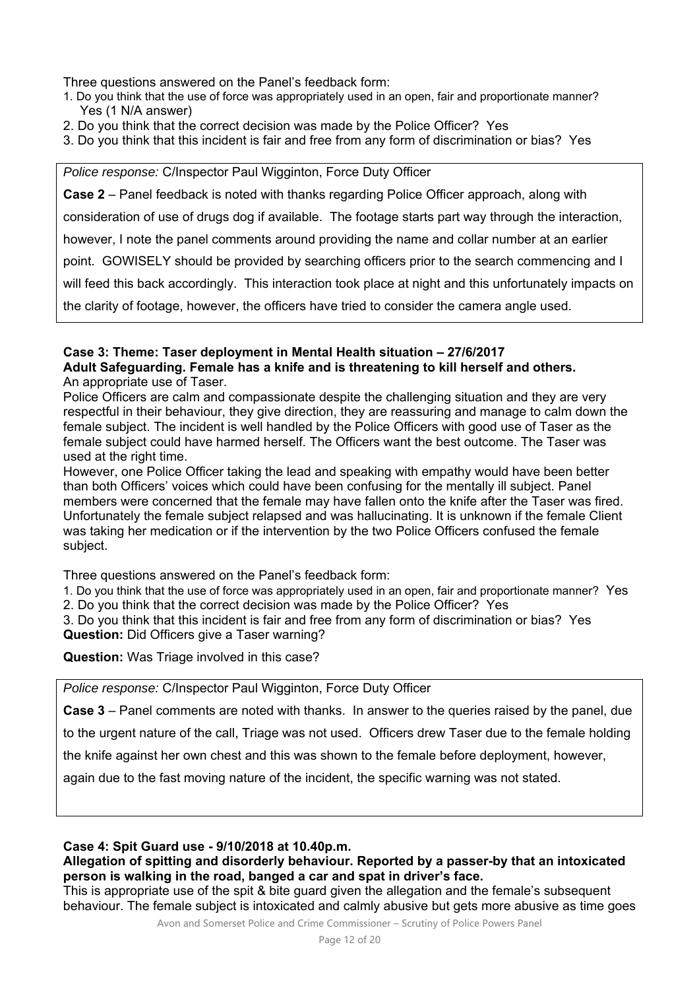Three questions answered on the Panel's feedback form:

- 1. Do you think that the use of force was appropriately used in an open, fair and proportionate manner? Yes (1 N/A answer)
- 2. Do you think that the correct decision was made by the Police Officer? Yes
- 3. Do you think that this incident is fair and free from any form of discrimination or bias? Yes

*Police response:* C/Inspector Paul Wigginton, Force Duty Officer

**Case 2** – Panel feedback is noted with thanks regarding Police Officer approach, along with

consideration of use of drugs dog if available. The footage starts part way through the interaction,

however, I note the panel comments around providing the name and collar number at an earlier

point. GOWISELY should be provided by searching officers prior to the search commencing and I

will feed this back accordingly. This interaction took place at night and this unfortunately impacts on

the clarity of footage, however, the officers have tried to consider the camera angle used.

### **Case 3: Theme: Taser deployment in Mental Health situation – 27/6/2017 Adult Safeguarding. Female has a knife and is threatening to kill herself and others.**  An appropriate use of Taser.

Police Officers are calm and compassionate despite the challenging situation and they are very respectful in their behaviour, they give direction, they are reassuring and manage to calm down the female subject. The incident is well handled by the Police Officers with good use of Taser as the female subject could have harmed herself. The Officers want the best outcome. The Taser was used at the right time.

However, one Police Officer taking the lead and speaking with empathy would have been better than both Officers' voices which could have been confusing for the mentally ill subject. Panel members were concerned that the female may have fallen onto the knife after the Taser was fired. Unfortunately the female subject relapsed and was hallucinating. It is unknown if the female Client was taking her medication or if the intervention by the two Police Officers confused the female subject.

Three questions answered on the Panel's feedback form:

1. Do you think that the use of force was appropriately used in an open, fair and proportionate manner? Yes

2. Do you think that the correct decision was made by the Police Officer? Yes

3. Do you think that this incident is fair and free from any form of discrimination or bias? Yes **Question:** Did Officers give a Taser warning?

**Question:** Was Triage involved in this case?

*Police response:* C/Inspector Paul Wigginton, Force Duty Officer

**Case 3** – Panel comments are noted with thanks. In answer to the queries raised by the panel, due

to the urgent nature of the call, Triage was not used. Officers drew Taser due to the female holding

the knife against her own chest and this was shown to the female before deployment, however,

again due to the fast moving nature of the incident, the specific warning was not stated.

# **Case 4: Spit Guard use - 9/10/2018 at 10.40p.m.**

### **Allegation of spitting and disorderly behaviour. Reported by a passer-by that an intoxicated person is walking in the road, banged a car and spat in driver's face.**

This is appropriate use of the spit & bite guard given the allegation and the female's subsequent behaviour. The female subject is intoxicated and calmly abusive but gets more abusive as time goes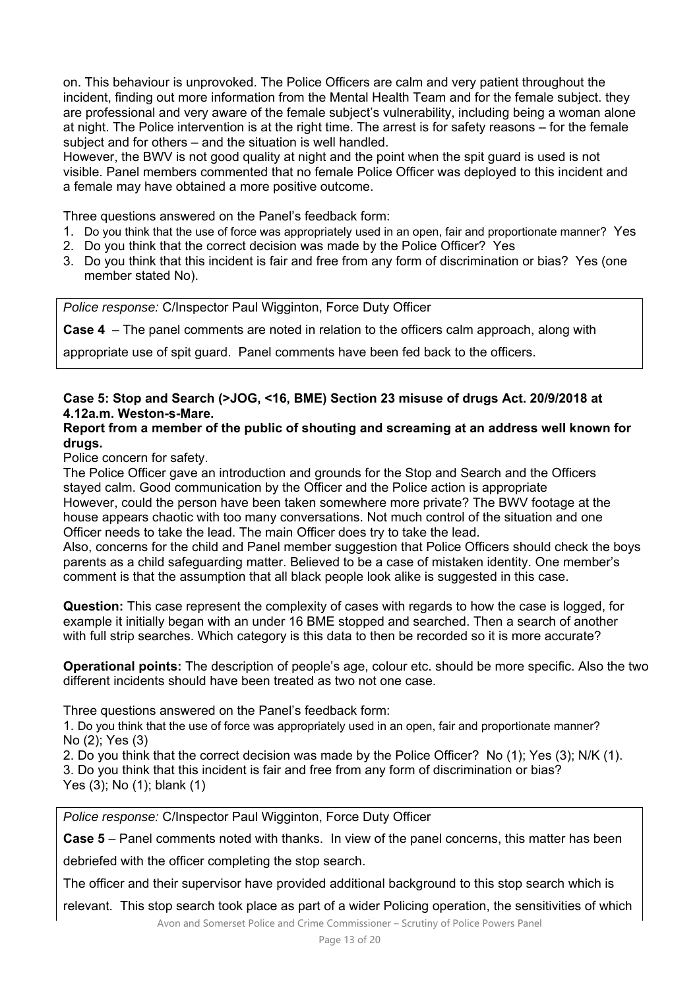on. This behaviour is unprovoked. The Police Officers are calm and very patient throughout the incident, finding out more information from the Mental Health Team and for the female subject. they are professional and very aware of the female subject's vulnerability, including being a woman alone at night. The Police intervention is at the right time. The arrest is for safety reasons – for the female subject and for others – and the situation is well handled.

However, the BWV is not good quality at night and the point when the spit guard is used is not visible. Panel members commented that no female Police Officer was deployed to this incident and a female may have obtained a more positive outcome.

Three questions answered on the Panel's feedback form:

- 1. Do you think that the use of force was appropriately used in an open, fair and proportionate manner? Yes
- 2. Do you think that the correct decision was made by the Police Officer? Yes
- 3. Do you think that this incident is fair and free from any form of discrimination or bias? Yes (one member stated No).

*Police response:* C/Inspector Paul Wigginton, Force Duty Officer

**Case 4** – The panel comments are noted in relation to the officers calm approach, along with

appropriate use of spit guard. Panel comments have been fed back to the officers.

### **Case 5: Stop and Search (>JOG, <16, BME) Section 23 misuse of drugs Act. 20/9/2018 at 4.12a.m. Weston-s-Mare.**

### **Report from a member of the public of shouting and screaming at an address well known for drugs.**

Police concern for safety.

The Police Officer gave an introduction and grounds for the Stop and Search and the Officers stayed calm. Good communication by the Officer and the Police action is appropriate However, could the person have been taken somewhere more private? The BWV footage at the house appears chaotic with too many conversations. Not much control of the situation and one Officer needs to take the lead. The main Officer does try to take the lead.

Also, concerns for the child and Panel member suggestion that Police Officers should check the boys parents as a child safeguarding matter. Believed to be a case of mistaken identity. One member's comment is that the assumption that all black people look alike is suggested in this case.

**Question:** This case represent the complexity of cases with regards to how the case is logged, for example it initially began with an under 16 BME stopped and searched. Then a search of another with full strip searches. Which category is this data to then be recorded so it is more accurate?

**Operational points:** The description of people's age, colour etc. should be more specific. Also the two different incidents should have been treated as two not one case.

Three questions answered on the Panel's feedback form:

1. Do you think that the use of force was appropriately used in an open, fair and proportionate manner? No (2); Yes (3)

2. Do you think that the correct decision was made by the Police Officer? No (1); Yes (3); N/K (1). 3. Do you think that this incident is fair and free from any form of discrimination or bias? Yes (3); No (1); blank (1)

*Police response:* C/Inspector Paul Wigginton, Force Duty Officer

**Case 5** – Panel comments noted with thanks. In view of the panel concerns, this matter has been

debriefed with the officer completing the stop search.

The officer and their supervisor have provided additional background to this stop search which is

relevant. This stop search took place as part of a wider Policing operation, the sensitivities of which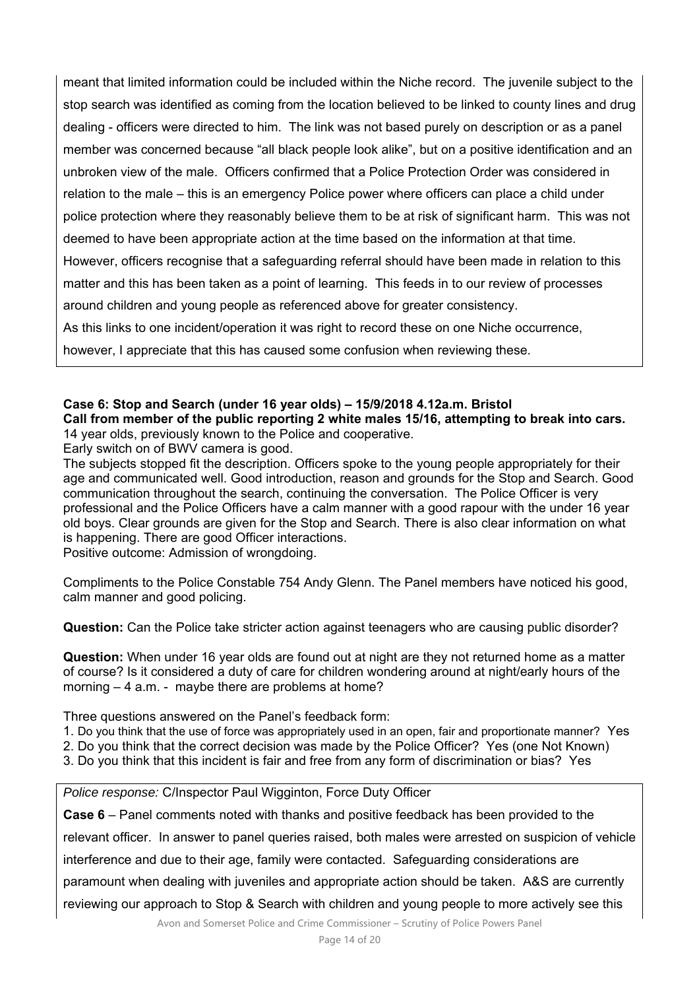meant that limited information could be included within the Niche record. The juvenile subject to the stop search was identified as coming from the location believed to be linked to county lines and drug dealing - officers were directed to him. The link was not based purely on description or as a panel member was concerned because "all black people look alike", but on a positive identification and an unbroken view of the male. Officers confirmed that a Police Protection Order was considered in relation to the male – this is an emergency Police power where officers can place a child under police protection where they reasonably believe them to be at risk of significant harm. This was not deemed to have been appropriate action at the time based on the information at that time. However, officers recognise that a safeguarding referral should have been made in relation to this matter and this has been taken as a point of learning. This feeds in to our review of processes around children and young people as referenced above for greater consistency. As this links to one incident/operation it was right to record these on one Niche occurrence, however, I appreciate that this has caused some confusion when reviewing these.

# **Case 6: Stop and Search (under 16 year olds) – 15/9/2018 4.12a.m. Bristol Call from member of the public reporting 2 white males 15/16, attempting to break into cars.**

14 year olds, previously known to the Police and cooperative. Early switch on of BWV camera is good.

The subjects stopped fit the description. Officers spoke to the young people appropriately for their age and communicated well. Good introduction, reason and grounds for the Stop and Search. Good communication throughout the search, continuing the conversation. The Police Officer is very professional and the Police Officers have a calm manner with a good rapour with the under 16 year old boys. Clear grounds are given for the Stop and Search. There is also clear information on what is happening. There are good Officer interactions.

Positive outcome: Admission of wrongdoing.

Compliments to the Police Constable 754 Andy Glenn. The Panel members have noticed his good, calm manner and good policing.

**Question:** Can the Police take stricter action against teenagers who are causing public disorder?

**Question:** When under 16 year olds are found out at night are they not returned home as a matter of course? Is it considered a duty of care for children wondering around at night/early hours of the morning – 4 a.m. - maybe there are problems at home?

Three questions answered on the Panel's feedback form:

- 1. Do you think that the use of force was appropriately used in an open, fair and proportionate manner? Yes
- 2. Do you think that the correct decision was made by the Police Officer? Yes (one Not Known)
- 3. Do you think that this incident is fair and free from any form of discrimination or bias? Yes

*Police response:* C/Inspector Paul Wigginton, Force Duty Officer

**Case 6** – Panel comments noted with thanks and positive feedback has been provided to the

relevant officer. In answer to panel queries raised, both males were arrested on suspicion of vehicle

interference and due to their age, family were contacted. Safeguarding considerations are

paramount when dealing with juveniles and appropriate action should be taken. A&S are currently

reviewing our approach to Stop & Search with children and young people to more actively see this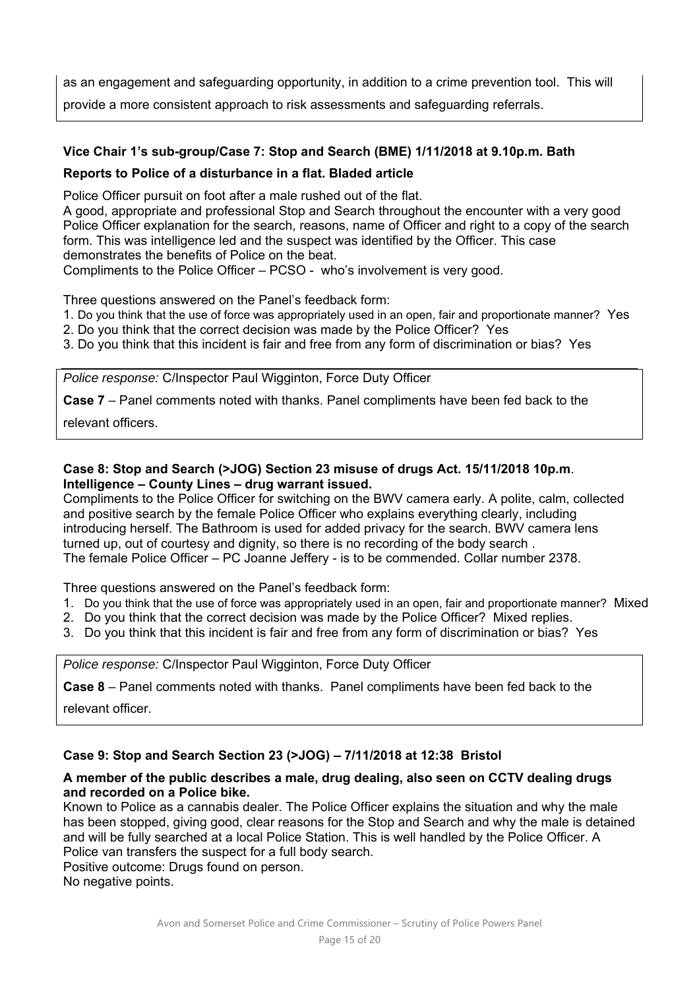as an engagement and safeguarding opportunity, in addition to a crime prevention tool. This will provide a more consistent approach to risk assessments and safeguarding referrals.

# **Vice Chair 1's sub-group/Case 7: Stop and Search (BME) 1/11/2018 at 9.10p.m. Bath**

### **Reports to Police of a disturbance in a flat. Bladed article**

Police Officer pursuit on foot after a male rushed out of the flat.

A good, appropriate and professional Stop and Search throughout the encounter with a very good Police Officer explanation for the search, reasons, name of Officer and right to a copy of the search form. This was intelligence led and the suspect was identified by the Officer. This case demonstrates the benefits of Police on the beat.

Compliments to the Police Officer – PCSO - who's involvement is very good.

Three questions answered on the Panel's feedback form:

- 1. Do you think that the use of force was appropriately used in an open, fair and proportionate manner? Yes
- 2. Do you think that the correct decision was made by the Police Officer? Yes
- 3. Do you think that this incident is fair and free from any form of discrimination or bias? Yes

*Police response:* C/Inspector Paul Wigginton, Force Duty Officer

**Case 7** – Panel comments noted with thanks. Panel compliments have been fed back to the

relevant officers.

### **Case 8: Stop and Search (>JOG) Section 23 misuse of drugs Act. 15/11/2018 10p.m**. **Intelligence – County Lines – drug warrant issued.**

Compliments to the Police Officer for switching on the BWV camera early. A polite, calm, collected and positive search by the female Police Officer who explains everything clearly, including introducing herself. The Bathroom is used for added privacy for the search. BWV camera lens turned up, out of courtesy and dignity, so there is no recording of the body search . The female Police Officer – PC Joanne Jeffery - is to be commended. Collar number 2378.

Three questions answered on the Panel's feedback form:

- 1. Do you think that the use of force was appropriately used in an open, fair and proportionate manner? Mixed
- 2. Do you think that the correct decision was made by the Police Officer? Mixed replies.
- 3. Do you think that this incident is fair and free from any form of discrimination or bias? Yes

*Police response:* C/Inspector Paul Wigginton, Force Duty Officer

**Case 8** – Panel comments noted with thanks. Panel compliments have been fed back to the

relevant officer.

# **Case 9: Stop and Search Section 23 (>JOG) – 7/11/2018 at 12:38 Bristol**

### **A member of the public describes a male, drug dealing, also seen on CCTV dealing drugs and recorded on a Police bike.**

Known to Police as a cannabis dealer. The Police Officer explains the situation and why the male has been stopped, giving good, clear reasons for the Stop and Search and why the male is detained and will be fully searched at a local Police Station. This is well handled by the Police Officer. A Police van transfers the suspect for a full body search.

Positive outcome: Drugs found on person. No negative points.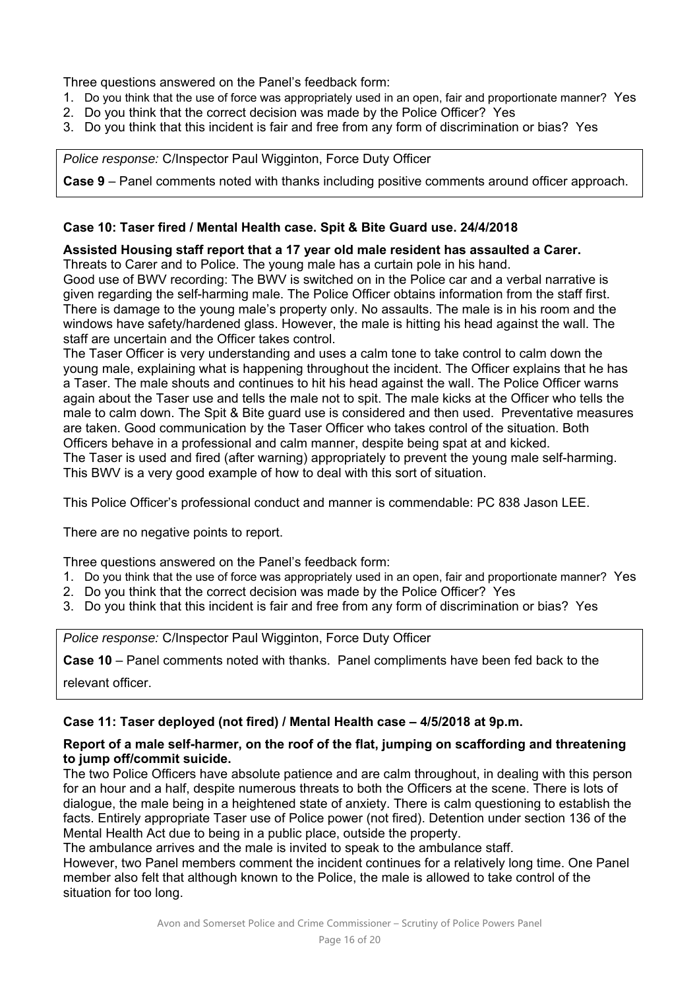Three questions answered on the Panel's feedback form:

- 1. Do you think that the use of force was appropriately used in an open, fair and proportionate manner? Yes
- 2. Do you think that the correct decision was made by the Police Officer? Yes
- 3. Do you think that this incident is fair and free from any form of discrimination or bias? Yes

*Police response:* C/Inspector Paul Wigginton, Force Duty Officer

**Case 9** – Panel comments noted with thanks including positive comments around officer approach.

### **Case 10: Taser fired / Mental Health case. Spit & Bite Guard use. 24/4/2018**

### **Assisted Housing staff report that a 17 year old male resident has assaulted a Carer.**

Threats to Carer and to Police. The young male has a curtain pole in his hand.

Good use of BWV recording: The BWV is switched on in the Police car and a verbal narrative is given regarding the self-harming male. The Police Officer obtains information from the staff first. There is damage to the young male's property only. No assaults. The male is in his room and the windows have safety/hardened glass. However, the male is hitting his head against the wall. The staff are uncertain and the Officer takes control.

The Taser Officer is very understanding and uses a calm tone to take control to calm down the young male, explaining what is happening throughout the incident. The Officer explains that he has a Taser. The male shouts and continues to hit his head against the wall. The Police Officer warns again about the Taser use and tells the male not to spit. The male kicks at the Officer who tells the male to calm down. The Spit & Bite guard use is considered and then used. Preventative measures are taken. Good communication by the Taser Officer who takes control of the situation. Both Officers behave in a professional and calm manner, despite being spat at and kicked. The Taser is used and fired (after warning) appropriately to prevent the young male self-harming. This BWV is a very good example of how to deal with this sort of situation.

This Police Officer's professional conduct and manner is commendable: PC 838 Jason LEE.

There are no negative points to report.

Three questions answered on the Panel's feedback form:

- 1. Do you think that the use of force was appropriately used in an open, fair and proportionate manner? Yes
- 2. Do you think that the correct decision was made by the Police Officer? Yes
- 3. Do you think that this incident is fair and free from any form of discrimination or bias? Yes

*Police response:* C/Inspector Paul Wigginton, Force Duty Officer

**Case 10** – Panel comments noted with thanks. Panel compliments have been fed back to the

relevant officer.

### **Case 11: Taser deployed (not fired) / Mental Health case – 4/5/2018 at 9p.m.**

### **Report of a male self-harmer, on the roof of the flat, jumping on scaffording and threatening to jump off/commit suicide.**

The two Police Officers have absolute patience and are calm throughout, in dealing with this person for an hour and a half, despite numerous threats to both the Officers at the scene. There is lots of dialogue, the male being in a heightened state of anxiety. There is calm questioning to establish the facts. Entirely appropriate Taser use of Police power (not fired). Detention under section 136 of the Mental Health Act due to being in a public place, outside the property.

The ambulance arrives and the male is invited to speak to the ambulance staff.

However, two Panel members comment the incident continues for a relatively long time. One Panel member also felt that although known to the Police, the male is allowed to take control of the situation for too long.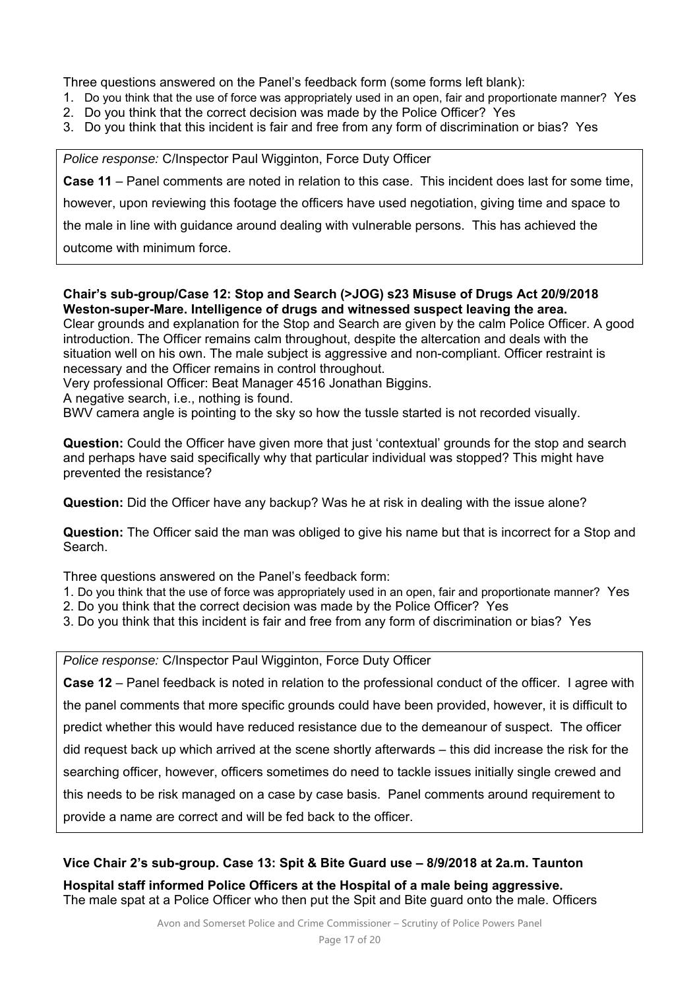Three questions answered on the Panel's feedback form (some forms left blank):

- 1. Do you think that the use of force was appropriately used in an open, fair and proportionate manner? Yes
- 2. Do you think that the correct decision was made by the Police Officer? Yes
- 3. Do you think that this incident is fair and free from any form of discrimination or bias? Yes

*Police response:* C/Inspector Paul Wigginton, Force Duty Officer

**Case 11** – Panel comments are noted in relation to this case. This incident does last for some time,

however, upon reviewing this footage the officers have used negotiation, giving time and space to

the male in line with guidance around dealing with vulnerable persons. This has achieved the

outcome with minimum force.

### **Chair's sub-group/Case 12: Stop and Search (>JOG) s23 Misuse of Drugs Act 20/9/2018 Weston-super-Mare. Intelligence of drugs and witnessed suspect leaving the area.**

Clear grounds and explanation for the Stop and Search are given by the calm Police Officer. A good introduction. The Officer remains calm throughout, despite the altercation and deals with the situation well on his own. The male subject is aggressive and non-compliant. Officer restraint is necessary and the Officer remains in control throughout.

Very professional Officer: Beat Manager 4516 Jonathan Biggins.

A negative search, i.e., nothing is found.

BWV camera angle is pointing to the sky so how the tussle started is not recorded visually.

**Question:** Could the Officer have given more that just 'contextual' grounds for the stop and search and perhaps have said specifically why that particular individual was stopped? This might have prevented the resistance?

**Question:** Did the Officer have any backup? Was he at risk in dealing with the issue alone?

**Question:** The Officer said the man was obliged to give his name but that is incorrect for a Stop and Search.

Three questions answered on the Panel's feedback form:

- 1. Do you think that the use of force was appropriately used in an open, fair and proportionate manner? Yes
- 2. Do you think that the correct decision was made by the Police Officer? Yes
- 3. Do you think that this incident is fair and free from any form of discrimination or bias? Yes

*Police response:* C/Inspector Paul Wigginton, Force Duty Officer

**Case 12** – Panel feedback is noted in relation to the professional conduct of the officer. I agree with the panel comments that more specific grounds could have been provided, however, it is difficult to predict whether this would have reduced resistance due to the demeanour of suspect. The officer did request back up which arrived at the scene shortly afterwards – this did increase the risk for the searching officer, however, officers sometimes do need to tackle issues initially single crewed and this needs to be risk managed on a case by case basis. Panel comments around requirement to provide a name are correct and will be fed back to the officer.

### **Vice Chair 2's sub-group. Case 13: Spit & Bite Guard use – 8/9/2018 at 2a.m. Taunton**

**Hospital staff informed Police Officers at the Hospital of a male being aggressive.**  The male spat at a Police Officer who then put the Spit and Bite guard onto the male. Officers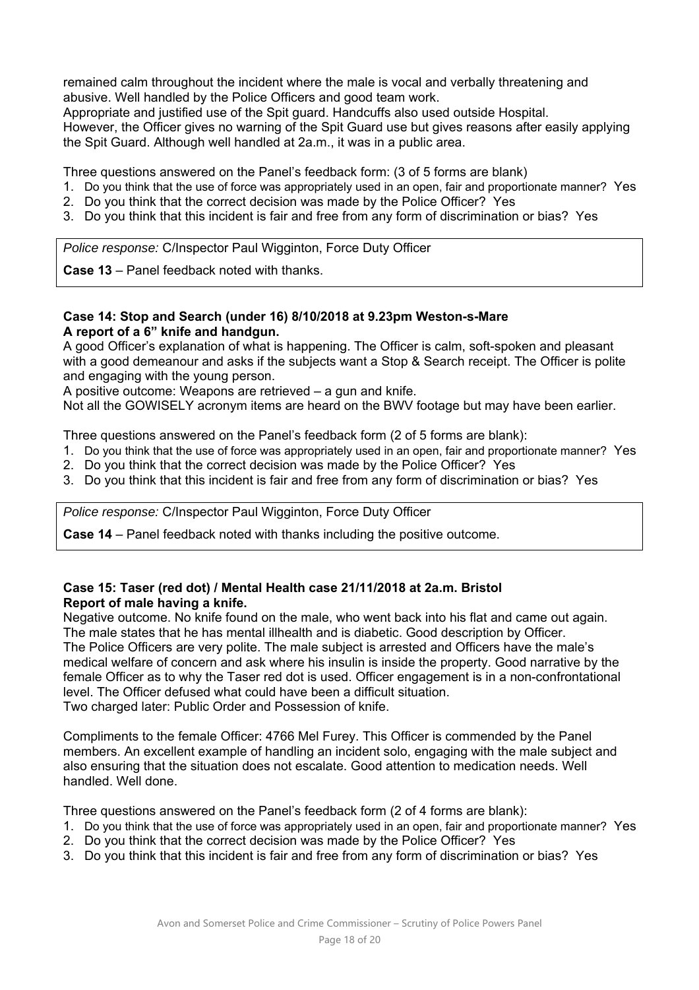remained calm throughout the incident where the male is vocal and verbally threatening and abusive. Well handled by the Police Officers and good team work.

Appropriate and justified use of the Spit guard. Handcuffs also used outside Hospital.

However, the Officer gives no warning of the Spit Guard use but gives reasons after easily applying the Spit Guard. Although well handled at 2a.m., it was in a public area.

Three questions answered on the Panel's feedback form: (3 of 5 forms are blank)

- 1. Do you think that the use of force was appropriately used in an open, fair and proportionate manner? Yes
- 2. Do you think that the correct decision was made by the Police Officer? Yes
- 3. Do you think that this incident is fair and free from any form of discrimination or bias? Yes

*Police response:* C/Inspector Paul Wigginton, Force Duty Officer

**Case 13** – Panel feedback noted with thanks.

### **Case 14: Stop and Search (under 16) 8/10/2018 at 9.23pm Weston-s-Mare A report of a 6" knife and handgun.**

A good Officer's explanation of what is happening. The Officer is calm, soft-spoken and pleasant with a good demeanour and asks if the subjects want a Stop & Search receipt. The Officer is polite and engaging with the young person.

A positive outcome: Weapons are retrieved – a gun and knife.

Not all the GOWISELY acronym items are heard on the BWV footage but may have been earlier.

Three questions answered on the Panel's feedback form (2 of 5 forms are blank):

- 1. Do you think that the use of force was appropriately used in an open, fair and proportionate manner? Yes
- 2. Do you think that the correct decision was made by the Police Officer? Yes
- 3. Do you think that this incident is fair and free from any form of discrimination or bias? Yes

*Police response:* C/Inspector Paul Wigginton, Force Duty Officer

**Case 14** – Panel feedback noted with thanks including the positive outcome.

### **Case 15: Taser (red dot) / Mental Health case 21/11/2018 at 2a.m. Bristol Report of male having a knife.**

Negative outcome. No knife found on the male, who went back into his flat and came out again. The male states that he has mental illhealth and is diabetic. Good description by Officer. The Police Officers are very polite. The male subject is arrested and Officers have the male's medical welfare of concern and ask where his insulin is inside the property. Good narrative by the female Officer as to why the Taser red dot is used. Officer engagement is in a non-confrontational level. The Officer defused what could have been a difficult situation.

Two charged later: Public Order and Possession of knife.

Compliments to the female Officer: 4766 Mel Furey. This Officer is commended by the Panel members. An excellent example of handling an incident solo, engaging with the male subject and also ensuring that the situation does not escalate. Good attention to medication needs. Well handled. Well done.

Three questions answered on the Panel's feedback form (2 of 4 forms are blank):

- 1. Do you think that the use of force was appropriately used in an open, fair and proportionate manner? Yes
- 2. Do you think that the correct decision was made by the Police Officer? Yes
- 3. Do you think that this incident is fair and free from any form of discrimination or bias? Yes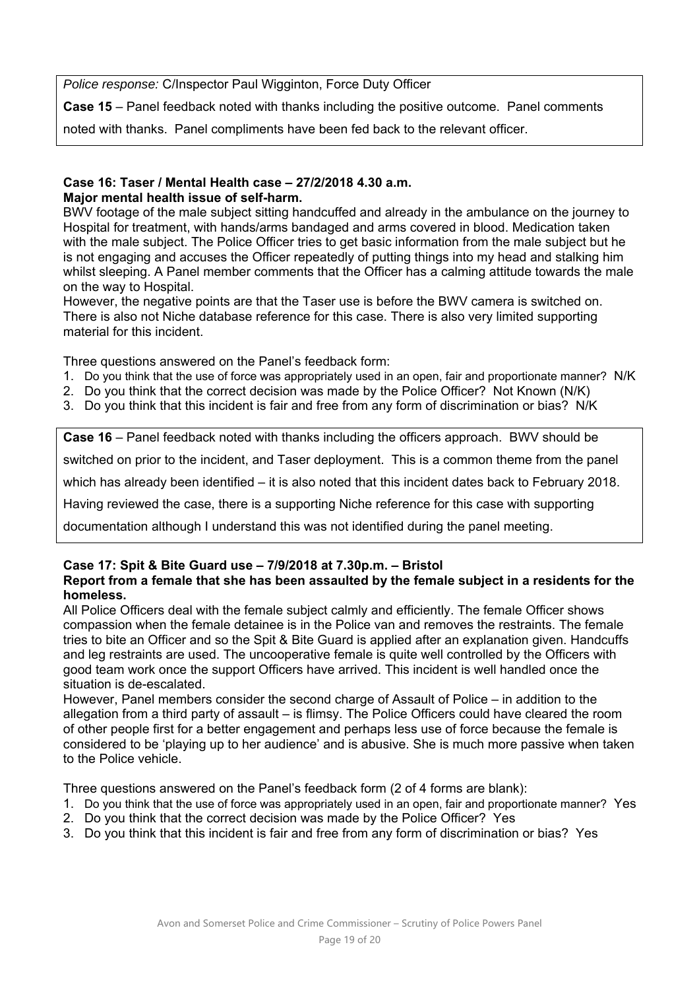*Police response:* C/Inspector Paul Wigginton, Force Duty Officer

**Case 15** – Panel feedback noted with thanks including the positive outcome. Panel comments

noted with thanks. Panel compliments have been fed back to the relevant officer.

### **Case 16: Taser / Mental Health case – 27/2/2018 4.30 a.m. Major mental health issue of self-harm.**

BWV footage of the male subject sitting handcuffed and already in the ambulance on the journey to Hospital for treatment, with hands/arms bandaged and arms covered in blood. Medication taken with the male subject. The Police Officer tries to get basic information from the male subject but he is not engaging and accuses the Officer repeatedly of putting things into my head and stalking him whilst sleeping. A Panel member comments that the Officer has a calming attitude towards the male on the way to Hospital.

However, the negative points are that the Taser use is before the BWV camera is switched on. There is also not Niche database reference for this case. There is also very limited supporting material for this incident.

Three questions answered on the Panel's feedback form:

- 1. Do you think that the use of force was appropriately used in an open, fair and proportionate manner? N/K
- 2. Do you think that the correct decision was made by the Police Officer? Not Known (N/K)
- 3. Do you think that this incident is fair and free from any form of discrimination or bias? N/K

**Case 16** – Panel feedback noted with thanks including the officers approach. BWV should be

switched on prior to the incident, and Taser deployment. This is a common theme from the panel

which has already been identified – it is also noted that this incident dates back to February 2018.

Having reviewed the case, there is a supporting Niche reference for this case with supporting

documentation although I understand this was not identified during the panel meeting.

# **Case 17: Spit & Bite Guard use – 7/9/2018 at 7.30p.m. – Bristol**

### **Report from a female that she has been assaulted by the female subject in a residents for the homeless.**

All Police Officers deal with the female subject calmly and efficiently. The female Officer shows compassion when the female detainee is in the Police van and removes the restraints. The female tries to bite an Officer and so the Spit & Bite Guard is applied after an explanation given. Handcuffs and leg restraints are used. The uncooperative female is quite well controlled by the Officers with good team work once the support Officers have arrived. This incident is well handled once the situation is de-escalated.

However, Panel members consider the second charge of Assault of Police – in addition to the allegation from a third party of assault – is flimsy. The Police Officers could have cleared the room of other people first for a better engagement and perhaps less use of force because the female is considered to be 'playing up to her audience' and is abusive. She is much more passive when taken to the Police vehicle.

Three questions answered on the Panel's feedback form (2 of 4 forms are blank):

- 1. Do you think that the use of force was appropriately used in an open, fair and proportionate manner? Yes
- 2. Do you think that the correct decision was made by the Police Officer? Yes
- 3. Do you think that this incident is fair and free from any form of discrimination or bias? Yes